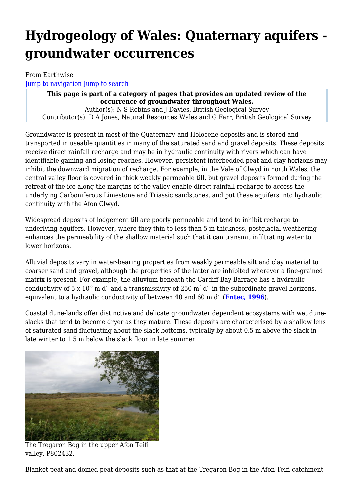# **Hydrogeology of Wales: Quaternary aquifers groundwater occurrences**

From Earthwise [Jump to navigation](#page--1-0) [Jump to search](#page--1-0)

> **This page is part of a category of pages that provides an updated review of the occurrence of groundwater throughout Wales.** Author(s): N S Robins and J Davies, British Geological Survey Contributor(s): D A Jones, Natural Resources Wales and G Farr, British Geological Survey

Groundwater is present in most of the Quaternary and Holocene deposits and is stored and transported in useable quantities in many of the saturated sand and gravel deposits. These deposits receive direct rainfall recharge and may be in hydraulic continuity with rivers which can have identifiable gaining and losing reaches. However, persistent interbedded peat and clay horizons may inhibit the downward migration of recharge. For example, in the Vale of Clwyd in north Wales, the central valley floor is covered in thick weakly permeable till, but gravel deposits formed during the retreat of the ice along the margins of the valley enable direct rainfall recharge to access the underlying Carboniferous Limestone and Triassic sandstones, and put these aquifers into hydraulic continuity with the Afon Clwyd.

Widespread deposits of lodgement till are poorly permeable and tend to inhibit recharge to underlying aquifers. However, where they thin to less than 5 m thickness, postglacial weathering enhances the permeability of the shallow material such that it can transmit infiltrating water to lower horizons.

Alluvial deposits vary in water-bearing properties from weakly permeable silt and clay material to coarser sand and gravel, although the properties of the latter are inhibited wherever a fine-grained matrix is present. For example, the alluvium beneath the Cardiff Bay Barrage has a hydraulic conductivity of 5 x 10<sup>-5</sup> m d<sup>-1</sup> and a transmissivity of 250 m<sup>2</sup> d<sup>-1</sup> in the subordinate gravel horizons, equivalent to a hydraulic conductivity of between 40 and 60 m d<sup>-1</sup> (**[Entec, 1996](http://earthwise.bgs.ac.uk/index.php/Hydrogeology_of_Wales:_References)**).

Coastal dune-lands offer distinctive and delicate groundwater dependent ecosystems with wet duneslacks that tend to become dryer as they mature. These deposits are characterised by a shallow lens of saturated sand fluctuating about the slack bottoms, typically by about 0.5 m above the slack in late winter to 1.5 m below the slack floor in late summer.



The Tregaron Bog in the upper Afon Teifi valley. P802432.

Blanket peat and domed peat deposits such as that at the Tregaron Bog in the Afon Teifi catchment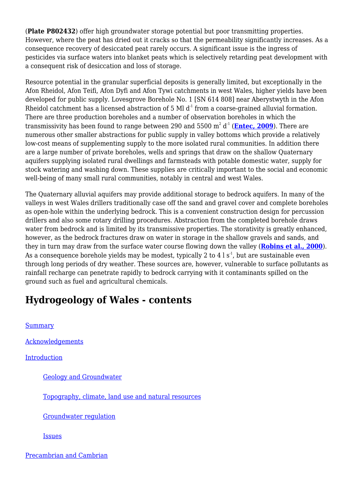(**Plate P802432**) offer high groundwater storage potential but poor transmitting properties. However, where the peat has dried out it cracks so that the permeability significantly increases. As a consequence recovery of desiccated peat rarely occurs. A significant issue is the ingress of pesticides via surface waters into blanket peats which is selectively retarding peat development with a consequent risk of desiccation and loss of storage.

Resource potential in the granular superficial deposits is generally limited, but exceptionally in the Afon Rheidol, Afon Teifi, Afon Dyfi and Afon Tywi catchments in west Wales, higher yields have been developed for public supply. Lovesgrove Borehole No. 1 [SN 614 808] near Aberystwyth in the Afon Rheidol catchment has a licensed abstraction of 5 Ml  $d<sup>1</sup>$  from a coarse-grained alluvial formation. There are three production boreholes and a number of observation boreholes in which the transmissivity has been found to range between 290 and 5500  $\mathrm{m}^2$  d $^1$  (<mark>[Entec, 2009](http://earthwise.bgs.ac.uk/index.php/Hydrogeology_of_Wales:_References)</mark>). There are numerous other smaller abstractions for public supply in valley bottoms which provide a relatively low-cost means of supplementing supply to the more isolated rural communities. In addition there are a large number of private boreholes, wells and springs that draw on the shallow Quaternary aquifers supplying isolated rural dwellings and farmsteads with potable domestic water, supply for stock watering and washing down. These supplies are critically important to the social and economic well-being of many small rural communities, notably in central and west Wales.

The Quaternary alluvial aquifers may provide additional storage to bedrock aquifers. In many of the valleys in west Wales drillers traditionally case off the sand and gravel cover and complete boreholes as open-hole within the underlying bedrock. This is a convenient construction design for percussion drillers and also some rotary drilling procedures. Abstraction from the completed borehole draws water from bedrock and is limited by its transmissive properties. The storativity is greatly enhanced, however, as the bedrock fractures draw on water in storage in the shallow gravels and sands, and they in turn may draw from the surface water course flowing down the valley (**[Robins et al., 2000](http://earthwise.bgs.ac.uk/index.php/Hydrogeology_of_Wales:_References)**). As a consequence borehole yields may be modest, typically 2 to 4 l  $s<sup>1</sup>$ , but are sustainable even through long periods of dry weather. These sources are, however, vulnerable to surface pollutants as rainfall recharge can penetrate rapidly to bedrock carrying with it contaminants spilled on the ground such as fuel and agricultural chemicals.

# **Hydrogeology of Wales - contents**

[Summary](http://earthwise.bgs.ac.uk/index.php/Hydrogeology_of_Wales:_Summary) [Acknowledgements](http://earthwise.bgs.ac.uk/index.php/Hydrogeology_of_Wales:_Acknowledgements) [Introduction](http://earthwise.bgs.ac.uk/index.php/Hydrogeology_of_Wales:_Introduction) [Geology and Groundwater](http://earthwise.bgs.ac.uk/index.php/Hydrogeology_of_Wales:_Introduction_-_geology_and_groundwater) [Topography, climate, land use and natural resources](http://earthwise.bgs.ac.uk/index.php/Hydrogeology_of_Wales:_Introduction_-_topography,_climate,_land_use_and_natural_resources) [Groundwater regulation](http://earthwise.bgs.ac.uk/index.php/Hydrogeology_of_Wales:_Introduction_-_groundwater_regulation) [Issues](http://earthwise.bgs.ac.uk/index.php/Hydrogeology_of_Wales:_Introduction_-_issues)

[Precambrian and Cambrian](http://earthwise.bgs.ac.uk/index.php/Hydrogeology_of_Wales:_Precambrian_and_Cambrian_aquifers)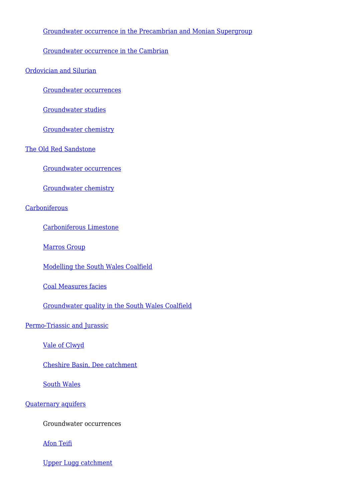#### [Groundwater occurrence in the Precambrian and Monian Supergroup](http://earthwise.bgs.ac.uk/index.php/Hydrogeology_of_Wales:_Precambrian_and_Cambrian_aquifers_-_groundwater_occurrence_in_the_Precambrian_and_Monian_Supergroup)

[Groundwater occurrence in the Cambrian](http://earthwise.bgs.ac.uk/index.php/Hydrogeology_of_Wales:_Precambrian_and_Cambrian_aquifers_-_groundwater_occurrence_in_the_Cambrian)

[Ordovician and Silurian](http://earthwise.bgs.ac.uk/index.php/Hydrogeology_of_Wales:_Ordovician_and_Silurian_aquifers)

[Groundwater occurrences](http://earthwise.bgs.ac.uk/index.php/Hydrogeology_of_Wales:_Ordovician_and_Silurian_aquifers_-_groundwater_occurrences)

[Groundwater studies](http://earthwise.bgs.ac.uk/index.php/Hydrogeology_of_Wales:_Ordovician_and_Silurian_aquifers_-_groundwater_studies)

[Groundwater chemistry](http://earthwise.bgs.ac.uk/index.php/Hydrogeology_of_Wales:_Ordovician_and_Silurian_aquifers_-_groundwater_chemistry)

[The Old Red Sandstone](http://earthwise.bgs.ac.uk/index.php/Hydrogeology_of_Wales:_The_Old_Red_Sandstone_aquifer)

[Groundwater occurrences](http://earthwise.bgs.ac.uk/index.php/Hydrogeology_of_Wales:_The_Old_Red_Sandstone_aquifer_-_groundwater_occurrences)

[Groundwater chemistry](http://earthwise.bgs.ac.uk/index.php/Hydrogeology_of_Wales:_The_Old_Red_Sandstone_aquifer_-_groundwater_chemistry)

#### **[Carboniferous](http://earthwise.bgs.ac.uk/index.php/Hydrogeology_of_Wales:_Carboniferous_aquifers)**

[Carboniferous Limestone](http://earthwise.bgs.ac.uk/index.php/Hydrogeology_of_Wales:_Carboniferous_aquifers_-_the_Carboniferous_Limestone_aquifer)

[Marros Group](http://earthwise.bgs.ac.uk/index.php/Hydrogeology_of_Wales:_Carboniferous_aquifers_-_the_Marros_Group)

[Modelling the South Wales Coalfield](http://earthwise.bgs.ac.uk/index.php/Hydrogeology_of_Wales:_Carboniferous_aquifers_-_modelling_the_South_Wales_Coalfield)

[Coal Measures facies](http://earthwise.bgs.ac.uk/index.php/Hydrogeology_of_Wales:_Carboniferous_aquifers_-_the_Coal_Measures_facies)

[Groundwater quality in the South Wales Coalfield](http://earthwise.bgs.ac.uk/index.php/Hydrogeology_of_Wales:_Carboniferous_aquifers_-_groundwater_quality_in_the_South_Wales_Coalfield)

[Permo-Triassic and Jurassic](http://earthwise.bgs.ac.uk/index.php/Hydrogeology_of_Wales:_Permo-Triassic_and_Jurassic_aquifers)

[Vale of Clwyd](http://earthwise.bgs.ac.uk/index.php/Hydrogeology_of_Wales:_Permo-Triassic_and_Jurassic_aquifers_-_Vale_of_Clwyd)

[Cheshire Basin, Dee catchment](http://earthwise.bgs.ac.uk/index.php/Hydrogeology_of_Wales:_Permo-Triassic_and_Jurassic_aquifers_-_Cheshire_Basin_-_Dee_catchment)

[South Wales](http://earthwise.bgs.ac.uk/index.php/Hydrogeology_of_Wales:_Permo-Triassic_and_Jurassic_aquifers_-_South_Wales)

#### [Quaternary aquifers](http://earthwise.bgs.ac.uk/index.php/Hydrogeology_of_Wales:_Quaternary_aquifers)

Groundwater occurrences

[Afon Teifi](http://earthwise.bgs.ac.uk/index.php/Hydrogeology_of_Wales:_Quaternary_aquifers_-_Afon_Teifi)

[Upper Lugg catchment](http://earthwise.bgs.ac.uk/index.php/Hydrogeology_of_Wales:_Quaternary_aquifers_-_the_Upper_Lugg_catchment)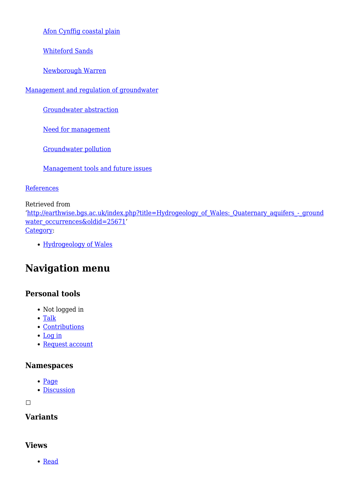[Afon Cynffig coastal plain](http://earthwise.bgs.ac.uk/index.php/Hydrogeology_of_Wales:_Quaternary_aquifers_-_Afon_Cynffig_coastal_plain)

[Whiteford Sands](http://earthwise.bgs.ac.uk/index.php/Hydrogeology_of_Wales:_Quaternary_aquifers_-_Whiteford_Sands)

[Newborough Warren](http://earthwise.bgs.ac.uk/index.php/Hydrogeology_of_Wales:_Quaternary_aquifers_-_Newborough_Warren)

[Management and regulation of groundwater](http://earthwise.bgs.ac.uk/index.php/Hydrogeology_of_Wales:_Management_and_regulation_of_groundwater)

[Groundwater abstraction](http://earthwise.bgs.ac.uk/index.php/Hydrogeology_of_Wales:_Management_and_regulation_of_groundwater_-_groundwater_abstraction)

[Need for management](http://earthwise.bgs.ac.uk/index.php/Hydrogeology_of_Wales:_Management_and_regulation_of_groundwater_-_need_for_management)

[Groundwater pollution](http://earthwise.bgs.ac.uk/index.php/Hydrogeology_of_Wales:_Management_and_regulation_of_groundwater_-_groundwater_pollution)

[Management tools and future issues](http://earthwise.bgs.ac.uk/index.php/Hydrogeology_of_Wales:_Management_and_regulation_of_groundwater_-_management_tools_and_future_issues)

**[References](http://earthwise.bgs.ac.uk/index.php/Hydrogeology_of_Wales:_References)** 

Retrieved from '[http://earthwise.bgs.ac.uk/index.php?title=Hydrogeology\\_of\\_Wales:\\_Quaternary\\_aquifers\\_-\\_ground](http://earthwise.bgs.ac.uk/index.php?title=Hydrogeology_of_Wales:_Quaternary_aquifers_-_groundwater_occurrences&oldid=25671) [water\\_occurrences&oldid=25671'](http://earthwise.bgs.ac.uk/index.php?title=Hydrogeology_of_Wales:_Quaternary_aquifers_-_groundwater_occurrences&oldid=25671) [Category](http://earthwise.bgs.ac.uk/index.php/Special:Categories):

[Hydrogeology of Wales](http://earthwise.bgs.ac.uk/index.php/Category:Hydrogeology_of_Wales)

# **Navigation menu**

### **Personal tools**

- Not logged in
- [Talk](http://earthwise.bgs.ac.uk/index.php/Special:MyTalk)
- [Contributions](http://earthwise.bgs.ac.uk/index.php/Special:MyContributions)
- [Log in](http://earthwise.bgs.ac.uk/index.php?title=Special:UserLogin&returnto=Hydrogeology+of+Wales%3A+Quaternary+aquifers+-+groundwater+occurrences&returntoquery=action%3Dmpdf)
- [Request account](http://earthwise.bgs.ac.uk/index.php/Special:RequestAccount)

### **Namespaces**

- [Page](http://earthwise.bgs.ac.uk/index.php/Hydrogeology_of_Wales:_Quaternary_aquifers_-_groundwater_occurrences)
- [Discussion](http://earthwise.bgs.ac.uk/index.php?title=Talk:Hydrogeology_of_Wales:_Quaternary_aquifers_-_groundwater_occurrences&action=edit&redlink=1)

 $\Box$ 

### **Variants**

### **Views**

• [Read](http://earthwise.bgs.ac.uk/index.php/Hydrogeology_of_Wales:_Quaternary_aquifers_-_groundwater_occurrences)